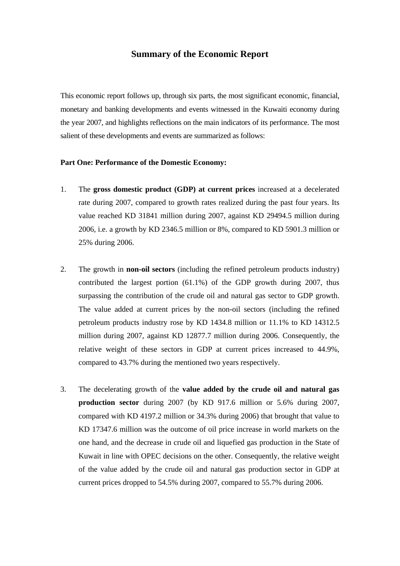## **Summary of the Economic Report**

This economic report follows up, through six parts, the most significant economic, financial, monetary and banking developments and events witnessed in the Kuwaiti economy during the year 2007, and highlights reflections on the main indicators of its performance. The most salient of these developments and events are summarized as follows:

### **Part One: Performance of the Domestic Economy:**

- 1. The **gross domestic product (GDP) at current prices** increased at a decelerated rate during 2007, compared to growth rates realized during the past four years. Its value reached KD 31841 million during 2007, against KD 29494.5 million during 2006, i.e. a growth by KD 2346.5 million or 8%, compared to KD 5901.3 million or 25% during 2006.
- 2. The growth in **non-oil sectors** (including the refined petroleum products industry) contributed the largest portion (61.1%) of the GDP growth during 2007, thus surpassing the contribution of the crude oil and natural gas sector to GDP growth. The value added at current prices by the non-oil sectors (including the refined petroleum products industry rose by KD 1434.8 million or 11.1% to KD 14312.5 million during 2007, against KD 12877.7 million during 2006. Consequently, the relative weight of these sectors in GDP at current prices increased to 44.9%, compared to 43.7% during the mentioned two years respectively.
- 3. The decelerating growth of the **value added by the crude oil and natural gas production sector** during 2007 (by KD 917.6 million or 5.6% during 2007, compared with KD 4197.2 million or 34.3% during 2006) that brought that value to KD 17347.6 million was the outcome of oil price increase in world markets on the one hand, and the decrease in crude oil and liquefied gas production in the State of Kuwait in line with OPEC decisions on the other. Consequently, the relative weight of the value added by the crude oil and natural gas production sector in GDP at current prices dropped to 54.5% during 2007, compared to 55.7% during 2006.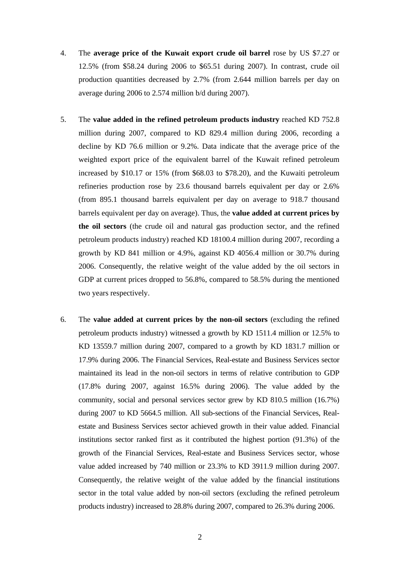- 4. The **average price of the Kuwait export crude oil barrel** rose by US \$7.27 or 12.5% (from \$58.24 during 2006 to \$65.51 during 2007). In contrast, crude oil production quantities decreased by 2.7% (from 2.644 million barrels per day on average during 2006 to 2.574 million b/d during 2007).
- 5. The **value added in the refined petroleum products industry** reached KD 752.8 million during 2007, compared to KD 829.4 million during 2006, recording a decline by KD 76.6 million or 9.2%. Data indicate that the average price of the weighted export price of the equivalent barrel of the Kuwait refined petroleum increased by \$10.17 or 15% (from \$68.03 to \$78.20), and the Kuwaiti petroleum refineries production rose by 23.6 thousand barrels equivalent per day or 2.6% (from 895.1 thousand barrels equivalent per day on average to 918.7 thousand barrels equivalent per day on average). Thus, the **value added at current prices by the oil sectors** (the crude oil and natural gas production sector, and the refined petroleum products industry) reached KD 18100.4 million during 2007, recording a growth by KD 841 million or 4.9%, against KD 4056.4 million or 30.7% during 2006. Consequently, the relative weight of the value added by the oil sectors in GDP at current prices dropped to 56.8%, compared to 58.5% during the mentioned two years respectively.
- 6. The **value added at current prices by the non-oil sectors** (excluding the refined petroleum products industry) witnessed a growth by KD 1511.4 million or 12.5% to KD 13559.7 million during 2007, compared to a growth by KD 1831.7 million or 17.9% during 2006. The Financial Services, Real-estate and Business Services sector maintained its lead in the non-oil sectors in terms of relative contribution to GDP (17.8% during 2007, against 16.5% during 2006). The value added by the community, social and personal services sector grew by KD 810.5 million (16.7%) during 2007 to KD 5664.5 million. All sub-sections of the Financial Services, Realestate and Business Services sector achieved growth in their value added. Financial institutions sector ranked first as it contributed the highest portion (91.3%) of the growth of the Financial Services, Real-estate and Business Services sector, whose value added increased by 740 million or 23.3% to KD 3911.9 million during 2007. Consequently, the relative weight of the value added by the financial institutions sector in the total value added by non-oil sectors (excluding the refined petroleum products industry) increased to 28.8% during 2007, compared to 26.3% during 2006.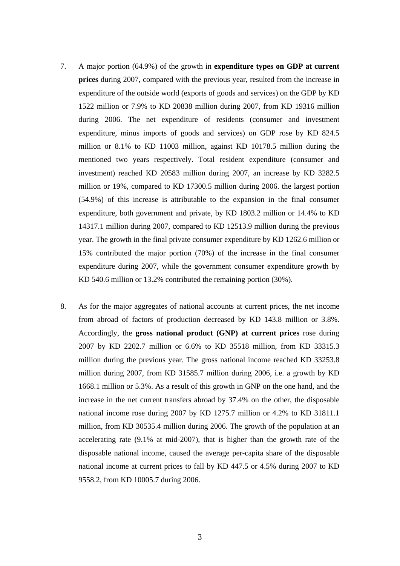- 7. A major portion (64.9%) of the growth in **expenditure types on GDP at current prices** during 2007, compared with the previous year, resulted from the increase in expenditure of the outside world (exports of goods and services) on the GDP by KD 1522 million or 7.9% to KD 20838 million during 2007, from KD 19316 million during 2006. The net expenditure of residents (consumer and investment expenditure, minus imports of goods and services) on GDP rose by KD 824.5 million or 8.1% to KD 11003 million, against KD 10178.5 million during the mentioned two years respectively. Total resident expenditure (consumer and investment) reached KD 20583 million during 2007, an increase by KD 3282.5 million or 19%, compared to KD 17300.5 million during 2006. the largest portion (54.9%) of this increase is attributable to the expansion in the final consumer expenditure, both government and private, by KD 1803.2 million or 14.4% to KD 14317.1 million during 2007, compared to KD 12513.9 million during the previous year. The growth in the final private consumer expenditure by KD 1262.6 million or 15% contributed the major portion (70%) of the increase in the final consumer expenditure during 2007, while the government consumer expenditure growth by KD 540.6 million or 13.2% contributed the remaining portion (30%).
- 8. As for the major aggregates of national accounts at current prices, the net income from abroad of factors of production decreased by KD 143.8 million or 3.8%. Accordingly, the **gross national product (GNP) at current prices** rose during 2007 by KD 2202.7 million or 6.6% to KD 35518 million, from KD 33315.3 million during the previous year. The gross national income reached KD 33253.8 million during 2007, from KD 31585.7 million during 2006, i.e. a growth by KD 1668.1 million or 5.3%. As a result of this growth in GNP on the one hand, and the increase in the net current transfers abroad by 37.4% on the other, the disposable national income rose during 2007 by KD 1275.7 million or 4.2% to KD 31811.1 million, from KD 30535.4 million during 2006. The growth of the population at an accelerating rate (9.1% at mid-2007), that is higher than the growth rate of the disposable national income, caused the average per-capita share of the disposable national income at current prices to fall by KD 447.5 or 4.5% during 2007 to KD 9558.2, from KD 10005.7 during 2006.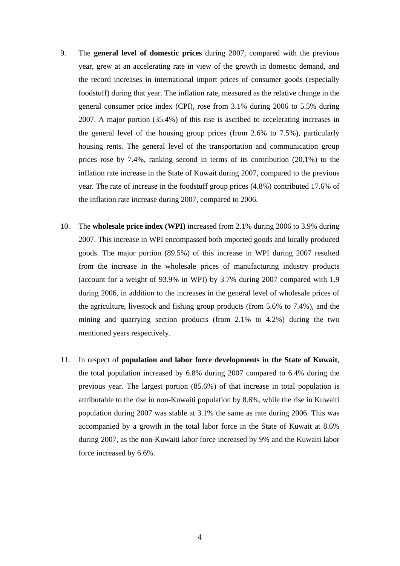- 9. The **general level of domestic prices** during 2007, compared with the previous year, grew at an accelerating rate in view of the growth in domestic demand, and the record increases in international import prices of consumer goods (especially foodstuff) during that year. The inflation rate, measured as the relative change in the general consumer price index (CPI), rose from 3.1% during 2006 to 5.5% during 2007. A major portion (35.4%) of this rise is ascribed to accelerating increases in the general level of the housing group prices (from 2.6% to 7.5%), particularly housing rents. The general level of the transportation and communication group prices rose by 7.4%, ranking second in terms of its contribution (20.1%) to the inflation rate increase in the State of Kuwait during 2007, compared to the previous year. The rate of increase in the foodstuff group prices (4.8%) contributed 17.6% of the inflation rate increase during 2007, compared to 2006.
- 10. The **wholesale price index (WPI)** increased from 2.1% during 2006 to 3.9% during 2007. This increase in WPI encompassed both imported goods and locally produced goods. The major portion (89.5%) of this increase in WPI during 2007 resulted from the increase in the wholesale prices of manufacturing industry products (account for a weight of 93.9% in WPI) by 3.7% during 2007 compared with 1.9 during 2006, in addition to the increases in the general level of wholesale prices of the agriculture, livestock and fishing group products (from 5.6% to 7.4%), and the mining and quarrying section products (from 2.1% to 4.2%) during the two mentioned years respectively.
- 11. In respect of **population and labor force developments in the State of Kuwait**, the total population increased by 6.8% during 2007 compared to 6.4% during the previous year. The largest portion (85.6%) of that increase in total population is attributable to the rise in non-Kuwaiti population by 8.6%, while the rise in Kuwaiti population during 2007 was stable at 3.1% the same as rate during 2006. This was accompanied by a growth in the total labor force in the State of Kuwait at 8.6% during 2007, as the non-Kuwaiti labor force increased by 9% and the Kuwaiti labor force increased by 6.6%.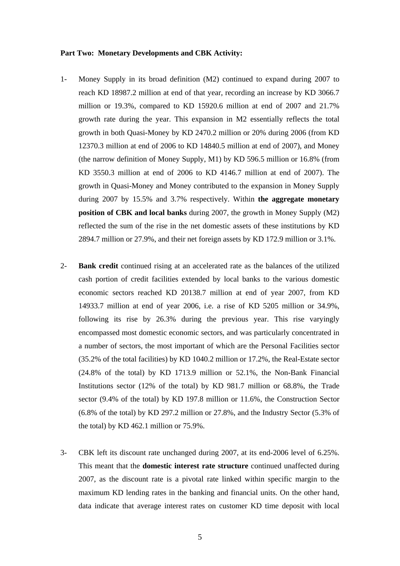#### **Part Two: Monetary Developments and CBK Activity:**

- 1- Money Supply in its broad definition (M2) continued to expand during 2007 to reach KD 18987.2 million at end of that year, recording an increase by KD 3066.7 million or 19.3%, compared to KD 15920.6 million at end of 2007 and 21.7% growth rate during the year. This expansion in M2 essentially reflects the total growth in both Quasi-Money by KD 2470.2 million or 20% during 2006 (from KD 12370.3 million at end of 2006 to KD 14840.5 million at end of 2007), and Money (the narrow definition of Money Supply, M1) by KD 596.5 million or 16.8% (from KD 3550.3 million at end of 2006 to KD 4146.7 million at end of 2007). The growth in Quasi-Money and Money contributed to the expansion in Money Supply during 2007 by 15.5% and 3.7% respectively. Within **the aggregate monetary position of CBK and local banks** during 2007, the growth in Money Supply (M2) reflected the sum of the rise in the net domestic assets of these institutions by KD 2894.7 million or 27.9%, and their net foreign assets by KD 172.9 million or 3.1%.
- 2- **Bank credit** continued rising at an accelerated rate as the balances of the utilized cash portion of credit facilities extended by local banks to the various domestic economic sectors reached KD 20138.7 million at end of year 2007, from KD 14933.7 million at end of year 2006, i.e. a rise of KD 5205 million or 34.9%, following its rise by 26.3% during the previous year. This rise varyingly encompassed most domestic economic sectors, and was particularly concentrated in a number of sectors, the most important of which are the Personal Facilities sector (35.2% of the total facilities) by KD 1040.2 million or 17.2%, the Real-Estate sector (24.8% of the total) by KD 1713.9 million or 52.1%, the Non-Bank Financial Institutions sector (12% of the total) by KD 981.7 million or 68.8%, the Trade sector (9.4% of the total) by KD 197.8 million or 11.6%, the Construction Sector (6.8% of the total) by KD 297.2 million or 27.8%, and the Industry Sector (5.3% of the total) by KD 462.1 million or 75.9%.
- 3- CBK left its discount rate unchanged during 2007, at its end-2006 level of 6.25%. This meant that the **domestic interest rate structure** continued unaffected during 2007, as the discount rate is a pivotal rate linked within specific margin to the maximum KD lending rates in the banking and financial units. On the other hand, data indicate that average interest rates on customer KD time deposit with local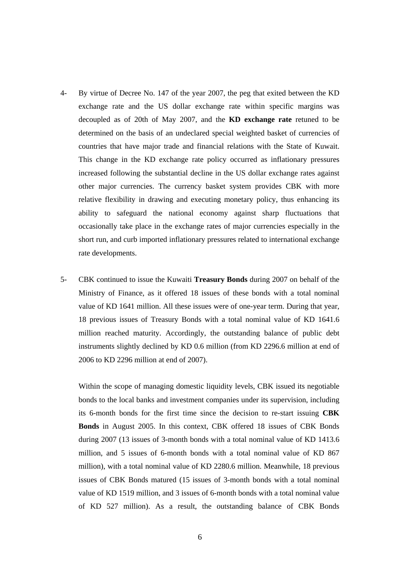- 4- By virtue of Decree No. 147 of the year 2007, the peg that exited between the KD exchange rate and the US dollar exchange rate within specific margins was decoupled as of 20th of May 2007, and the **KD exchange rate** retuned to be determined on the basis of an undeclared special weighted basket of currencies of countries that have major trade and financial relations with the State of Kuwait. This change in the KD exchange rate policy occurred as inflationary pressures increased following the substantial decline in the US dollar exchange rates against other major currencies. The currency basket system provides CBK with more relative flexibility in drawing and executing monetary policy, thus enhancing its ability to safeguard the national economy against sharp fluctuations that occasionally take place in the exchange rates of major currencies especially in the short run, and curb imported inflationary pressures related to international exchange rate developments.
- 5- CBK continued to issue the Kuwaiti **Treasury Bonds** during 2007 on behalf of the Ministry of Finance, as it offered 18 issues of these bonds with a total nominal value of KD 1641 million. All these issues were of one-year term. During that year, 18 previous issues of Treasury Bonds with a total nominal value of KD 1641.6 million reached maturity. Accordingly, the outstanding balance of public debt instruments slightly declined by KD 0.6 million (from KD 2296.6 million at end of 2006 to KD 2296 million at end of 2007).

Within the scope of managing domestic liquidity levels, CBK issued its negotiable bonds to the local banks and investment companies under its supervision, including its 6-month bonds for the first time since the decision to re-start issuing **CBK Bonds** in August 2005. In this context, CBK offered 18 issues of CBK Bonds during 2007 (13 issues of 3-month bonds with a total nominal value of KD 1413.6 million, and 5 issues of 6-month bonds with a total nominal value of KD 867 million), with a total nominal value of KD 2280.6 million. Meanwhile, 18 previous issues of CBK Bonds matured (15 issues of 3-month bonds with a total nominal value of KD 1519 million, and 3 issues of 6-month bonds with a total nominal value of KD 527 million). As a result, the outstanding balance of CBK Bonds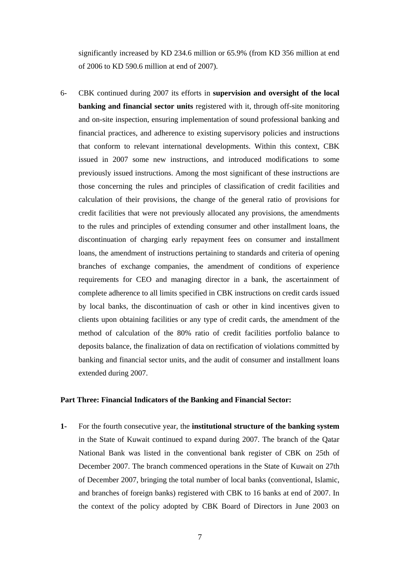significantly increased by KD 234.6 million or 65.9% (from KD 356 million at end of 2006 to KD 590.6 million at end of 2007).

6- CBK continued during 2007 its efforts in **supervision and oversight of the local banking and financial sector units** registered with it, through off-site monitoring and on-site inspection, ensuring implementation of sound professional banking and financial practices, and adherence to existing supervisory policies and instructions that conform to relevant international developments. Within this context, CBK issued in 2007 some new instructions, and introduced modifications to some previously issued instructions. Among the most significant of these instructions are those concerning the rules and principles of classification of credit facilities and calculation of their provisions, the change of the general ratio of provisions for credit facilities that were not previously allocated any provisions, the amendments to the rules and principles of extending consumer and other installment loans, the discontinuation of charging early repayment fees on consumer and installment loans, the amendment of instructions pertaining to standards and criteria of opening branches of exchange companies, the amendment of conditions of experience requirements for CEO and managing director in a bank, the ascertainment of complete adherence to all limits specified in CBK instructions on credit cards issued by local banks, the discontinuation of cash or other in kind incentives given to clients upon obtaining facilities or any type of credit cards, the amendment of the method of calculation of the 80% ratio of credit facilities portfolio balance to deposits balance, the finalization of data on rectification of violations committed by banking and financial sector units, and the audit of consumer and installment loans extended during 2007.

#### **Part Three: Financial Indicators of the Banking and Financial Sector:**

**1-** For the fourth consecutive year, the **institutional structure of the banking system** in the State of Kuwait continued to expand during 2007. The branch of the Qatar National Bank was listed in the conventional bank register of CBK on 25th of December 2007. The branch commenced operations in the State of Kuwait on 27th of December 2007, bringing the total number of local banks (conventional, Islamic, and branches of foreign banks) registered with CBK to 16 banks at end of 2007. In the context of the policy adopted by CBK Board of Directors in June 2003 on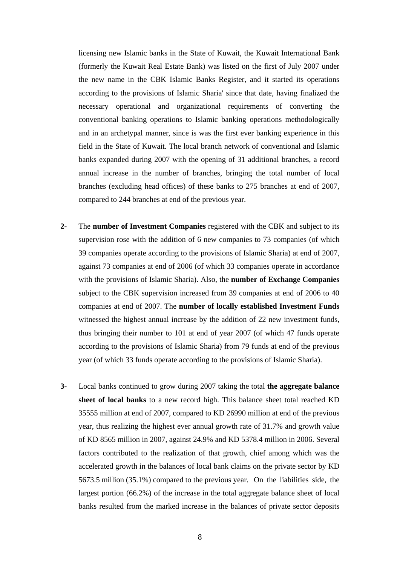licensing new Islamic banks in the State of Kuwait, the Kuwait International Bank (formerly the Kuwait Real Estate Bank) was listed on the first of July 2007 under the new name in the CBK Islamic Banks Register, and it started its operations according to the provisions of Islamic Sharia' since that date, having finalized the necessary operational and organizational requirements of converting the conventional banking operations to Islamic banking operations methodologically and in an archetypal manner, since is was the first ever banking experience in this field in the State of Kuwait. The local branch network of conventional and Islamic banks expanded during 2007 with the opening of 31 additional branches, a record annual increase in the number of branches, bringing the total number of local branches (excluding head offices) of these banks to 275 branches at end of 2007, compared to 244 branches at end of the previous year.

- **2-** The **number of Investment Companies** registered with the CBK and subject to its supervision rose with the addition of 6 new companies to 73 companies (of which 39 companies operate according to the provisions of Islamic Sharia) at end of 2007, against 73 companies at end of 2006 (of which 33 companies operate in accordance with the provisions of Islamic Sharia). Also, the **number of Exchange Companies** subject to the CBK supervision increased from 39 companies at end of 2006 to 40 companies at end of 2007. The **number of locally established Investment Funds** witnessed the highest annual increase by the addition of 22 new investment funds, thus bringing their number to 101 at end of year 2007 (of which 47 funds operate according to the provisions of Islamic Sharia) from 79 funds at end of the previous year (of which 33 funds operate according to the provisions of Islamic Sharia).
- **3-** Local banks continued to grow during 2007 taking the total **the aggregate balance sheet of local banks** to a new record high. This balance sheet total reached KD 35555 million at end of 2007, compared to KD 26990 million at end of the previous year, thus realizing the highest ever annual growth rate of 31.7% and growth value of KD 8565 million in 2007, against 24.9% and KD 5378.4 million in 2006. Several factors contributed to the realization of that growth, chief among which was the accelerated growth in the balances of local bank claims on the private sector by KD 5673.5 million (35.1%) compared to the previous year. On the liabilities side, the largest portion (66.2%) of the increase in the total aggregate balance sheet of local banks resulted from the marked increase in the balances of private sector deposits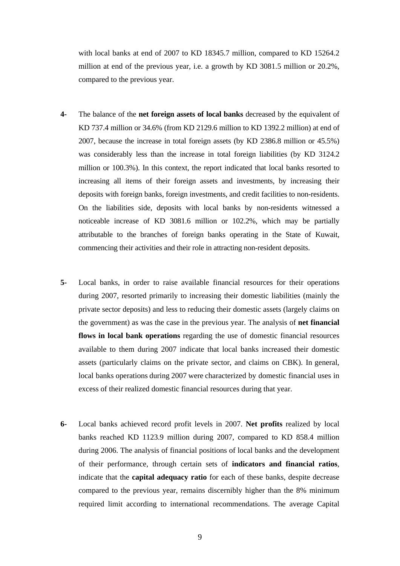with local banks at end of 2007 to KD 18345.7 million, compared to KD 15264.2 million at end of the previous year, i.e. a growth by KD 3081.5 million or 20.2%, compared to the previous year.

- **4-** The balance of the **net foreign assets of local banks** decreased by the equivalent of KD 737.4 million or 34.6% (from KD 2129.6 million to KD 1392.2 million) at end of 2007, because the increase in total foreign assets (by KD 2386.8 million or 45.5%) was considerably less than the increase in total foreign liabilities (by KD 3124.2 million or 100.3%). In this context, the report indicated that local banks resorted to increasing all items of their foreign assets and investments, by increasing their deposits with foreign banks, foreign investments, and credit facilities to non-residents. On the liabilities side, deposits with local banks by non-residents witnessed a noticeable increase of KD 3081.6 million or 102.2%, which may be partially attributable to the branches of foreign banks operating in the State of Kuwait, commencing their activities and their role in attracting non-resident deposits.
- **5-** Local banks, in order to raise available financial resources for their operations during 2007, resorted primarily to increasing their domestic liabilities (mainly the private sector deposits) and less to reducing their domestic assets (largely claims on the government) as was the case in the previous year. The analysis of **net financial flows in local bank operations** regarding the use of domestic financial resources available to them during 2007 indicate that local banks increased their domestic assets (particularly claims on the private sector, and claims on CBK). In general, local banks operations during 2007 were characterized by domestic financial uses in excess of their realized domestic financial resources during that year.
- **6-** Local banks achieved record profit levels in 2007. **Net profits** realized by local banks reached KD 1123.9 million during 2007, compared to KD 858.4 million during 2006. The analysis of financial positions of local banks and the development of their performance, through certain sets of **indicators and financial ratios**, indicate that the **capital adequacy ratio** for each of these banks, despite decrease compared to the previous year, remains discernibly higher than the 8% minimum required limit according to international recommendations. The average Capital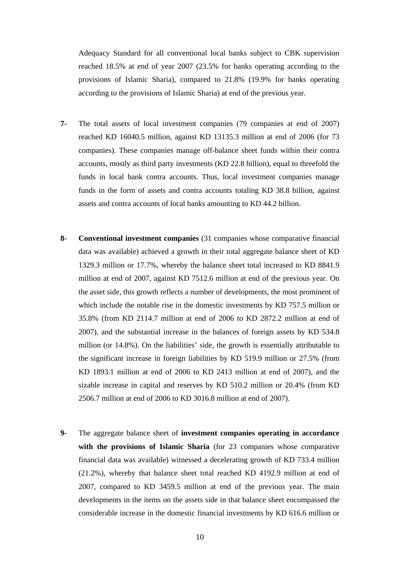Adequacy Standard for all conventional local banks subject to CBK supervision reached 18.5% at end of year 2007 (23.5% for banks operating according to the provisions of Islamic Sharia), compared to 21.8% (19.9% for banks operating according to the provisions of Islamic Sharia) at end of the previous year.

- **7-** The total assets of local investment companies (79 companies at end of 2007) reached KD 16040.5 million, against KD 13135.3 million at end of 2006 (for 73 companies). These companies manage off-balance sheet funds within their contra accounts, mostly as third party investments (KD 22.8 billion), equal to threefold the funds in local bank contra accounts. Thus, local investment companies manage funds in the form of assets and contra accounts totaling KD 38.8 billion, against assets and contra accounts of local banks amounting to KD 44.2 billion.
- **8- Conventional investment companies** (31 companies whose comparative financial data was available) achieved a growth in their total aggregate balance sheet of KD 1329.3 million or 17.7%, whereby the balance sheet total increased to KD 8841.9 million at end of 2007, against KD 7512.6 million at end of the previous year. On the asset side, this growth reflects a number of developments, the most prominent of which include the notable rise in the domestic investments by KD 757.5 million or 35.8% (from KD 2114.7 million at end of 2006 to KD 2872.2 million at end of 2007), and the substantial increase in the balances of foreign assets by KD 534.8 million (or 14.8%). On the liabilities' side, the growth is essentially attributable to the significant increase in foreign liabilities by KD 519.9 million or 27.5% (from KD 1893.1 million at end of 2006 to KD 2413 million at end of 2007), and the sizable increase in capital and reserves by KD 510.2 million or 20.4% (from KD 2506.7 million at end of 2006 to KD 3016.8 million at end of 2007).
- **9-** The aggregate balance sheet of **investment companies operating in accordance with the provisions of Islamic Sharia** (for 23 companies whose comparative financial data was available) witnessed a decelerating growth of KD 733.4 million (21.2%), whereby that balance sheet total reached KD 4192.9 million at end of 2007, compared to KD 3459.5 million at end of the previous year. The main developments in the items on the assets side in that balance sheet encompassed the considerable increase in the domestic financial investments by KD 616.6 million or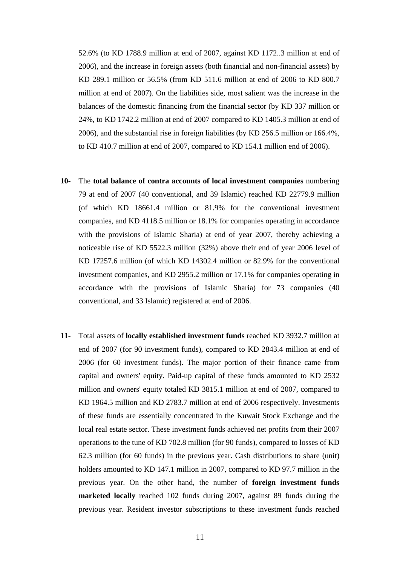52.6% (to KD 1788.9 million at end of 2007, against KD 1172..3 million at end of 2006), and the increase in foreign assets (both financial and non-financial assets) by KD 289.1 million or 56.5% (from KD 511.6 million at end of 2006 to KD 800.7 million at end of 2007). On the liabilities side, most salient was the increase in the balances of the domestic financing from the financial sector (by KD 337 million or 24%, to KD 1742.2 million at end of 2007 compared to KD 1405.3 million at end of 2006), and the substantial rise in foreign liabilities (by KD 256.5 million or 166.4%, to KD 410.7 million at end of 2007, compared to KD 154.1 million end of 2006).

- **10-** The **total balance of contra accounts of local investment companies** numbering 79 at end of 2007 (40 conventional, and 39 Islamic) reached KD 22779.9 million (of which KD 18661.4 million or 81.9% for the conventional investment companies, and KD 4118.5 million or 18.1% for companies operating in accordance with the provisions of Islamic Sharia) at end of year 2007, thereby achieving a noticeable rise of KD 5522.3 million (32%) above their end of year 2006 level of KD 17257.6 million (of which KD 14302.4 million or 82.9% for the conventional investment companies, and KD 2955.2 million or 17.1% for companies operating in accordance with the provisions of Islamic Sharia) for 73 companies (40 conventional, and 33 Islamic) registered at end of 2006.
- **11-** Total assets of **locally established investment funds** reached KD 3932.7 million at end of 2007 (for 90 investment funds), compared to KD 2843.4 million at end of 2006 (for 60 investment funds). The major portion of their finance came from capital and owners' equity. Paid-up capital of these funds amounted to KD 2532 million and owners' equity totaled KD 3815.1 million at end of 2007, compared to KD 1964.5 million and KD 2783.7 million at end of 2006 respectively. Investments of these funds are essentially concentrated in the Kuwait Stock Exchange and the local real estate sector. These investment funds achieved net profits from their 2007 operations to the tune of KD 702.8 million (for 90 funds), compared to losses of KD 62.3 million (for 60 funds) in the previous year. Cash distributions to share (unit) holders amounted to KD 147.1 million in 2007, compared to KD 97.7 million in the previous year. On the other hand, the number of **foreign investment funds marketed locally** reached 102 funds during 2007, against 89 funds during the previous year. Resident investor subscriptions to these investment funds reached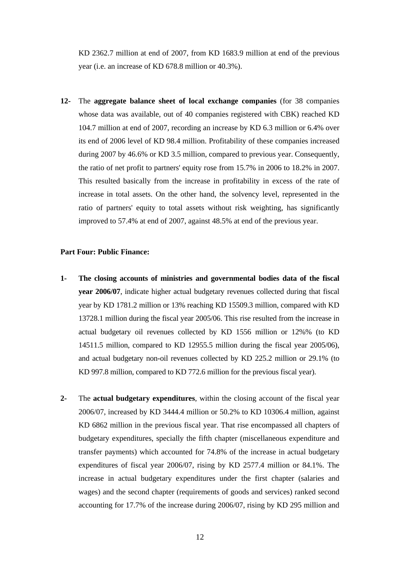KD 2362.7 million at end of 2007, from KD 1683.9 million at end of the previous year (i.e. an increase of KD 678.8 million or 40.3%).

**12-** The **aggregate balance sheet of local exchange companies** (for 38 companies whose data was available, out of 40 companies registered with CBK) reached KD 104.7 million at end of 2007, recording an increase by KD 6.3 million or 6.4% over its end of 2006 level of KD 98.4 million. Profitability of these companies increased during 2007 by 46.6% or KD 3.5 million, compared to previous year. Consequently, the ratio of net profit to partners' equity rose from 15.7% in 2006 to 18.2% in 2007. This resulted basically from the increase in profitability in excess of the rate of increase in total assets. On the other hand, the solvency level, represented in the ratio of partners' equity to total assets without risk weighting, has significantly improved to 57.4% at end of 2007, against 48.5% at end of the previous year.

#### **Part Four: Public Finance:**

- **1- The closing accounts of ministries and governmental bodies data of the fiscal year 2006/07**, indicate higher actual budgetary revenues collected during that fiscal year by KD 1781.2 million or 13% reaching KD 15509.3 million, compared with KD 13728.1 million during the fiscal year 2005/06. This rise resulted from the increase in actual budgetary oil revenues collected by KD 1556 million or 12%% (to KD 14511.5 million, compared to KD 12955.5 million during the fiscal year 2005/06), and actual budgetary non-oil revenues collected by KD 225.2 million or 29.1% (to KD 997.8 million, compared to KD 772.6 million for the previous fiscal year).
- **2-** The **actual budgetary expenditures**, within the closing account of the fiscal year 2006/07, increased by KD 3444.4 million or 50.2% to KD 10306.4 million, against KD 6862 million in the previous fiscal year. That rise encompassed all chapters of budgetary expenditures, specially the fifth chapter (miscellaneous expenditure and transfer payments) which accounted for 74.8% of the increase in actual budgetary expenditures of fiscal year 2006/07, rising by KD 2577.4 million or 84.1%. The increase in actual budgetary expenditures under the first chapter (salaries and wages) and the second chapter (requirements of goods and services) ranked second accounting for 17.7% of the increase during 2006/07, rising by KD 295 million and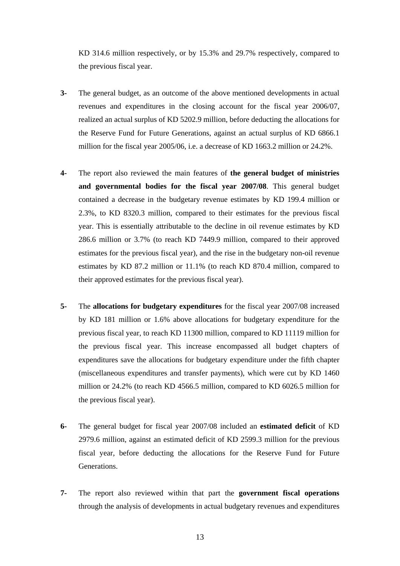KD 314.6 million respectively, or by 15.3% and 29.7% respectively, compared to the previous fiscal year.

- **3-** The general budget, as an outcome of the above mentioned developments in actual revenues and expenditures in the closing account for the fiscal year 2006/07, realized an actual surplus of KD 5202.9 million, before deducting the allocations for the Reserve Fund for Future Generations, against an actual surplus of KD 6866.1 million for the fiscal year 2005/06, i.e. a decrease of KD 1663.2 million or 24.2%.
- **4-** The report also reviewed the main features of **the general budget of ministries and governmental bodies for the fiscal year 2007/08**. This general budget contained a decrease in the budgetary revenue estimates by KD 199.4 million or 2.3%, to KD 8320.3 million, compared to their estimates for the previous fiscal year. This is essentially attributable to the decline in oil revenue estimates by KD 286.6 million or 3.7% (to reach KD 7449.9 million, compared to their approved estimates for the previous fiscal year), and the rise in the budgetary non-oil revenue estimates by KD 87.2 million or 11.1% (to reach KD 870.4 million, compared to their approved estimates for the previous fiscal year).
- **5-** The **allocations for budgetary expenditures** for the fiscal year 2007/08 increased by KD 181 million or 1.6% above allocations for budgetary expenditure for the previous fiscal year, to reach KD 11300 million, compared to KD 11119 million for the previous fiscal year. This increase encompassed all budget chapters of expenditures save the allocations for budgetary expenditure under the fifth chapter (miscellaneous expenditures and transfer payments), which were cut by KD 1460 million or 24.2% (to reach KD 4566.5 million, compared to KD 6026.5 million for the previous fiscal year).
- **6-** The general budget for fiscal year 2007/08 included an **estimated deficit** of KD 2979.6 million, against an estimated deficit of KD 2599.3 million for the previous fiscal year, before deducting the allocations for the Reserve Fund for Future Generations.
- **7-** The report also reviewed within that part the **government fiscal operations** through the analysis of developments in actual budgetary revenues and expenditures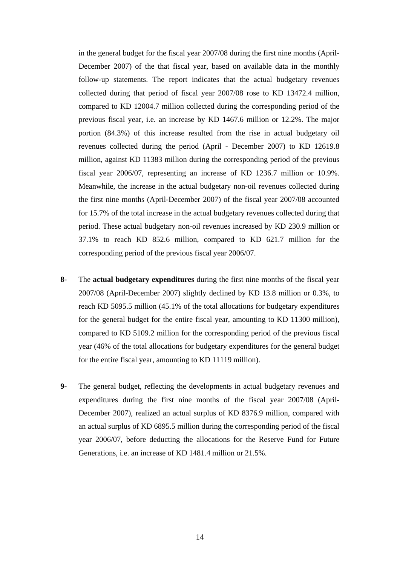in the general budget for the fiscal year 2007/08 during the first nine months (April-December 2007) of the that fiscal year, based on available data in the monthly follow-up statements. The report indicates that the actual budgetary revenues collected during that period of fiscal year 2007/08 rose to KD 13472.4 million, compared to KD 12004.7 million collected during the corresponding period of the previous fiscal year, i.e. an increase by KD 1467.6 million or 12.2%. The major portion (84.3%) of this increase resulted from the rise in actual budgetary oil revenues collected during the period (April - December 2007) to KD 12619.8 million, against KD 11383 million during the corresponding period of the previous fiscal year 2006/07, representing an increase of KD 1236.7 million or 10.9%. Meanwhile, the increase in the actual budgetary non-oil revenues collected during the first nine months (April-December 2007) of the fiscal year 2007/08 accounted for 15.7% of the total increase in the actual budgetary revenues collected during that period. These actual budgetary non-oil revenues increased by KD 230.9 million or 37.1% to reach KD 852.6 million, compared to KD 621.7 million for the corresponding period of the previous fiscal year 2006/07.

- **8-** The **actual budgetary expenditures** during the first nine months of the fiscal year 2007/08 (April-December 2007) slightly declined by KD 13.8 million or 0.3%, to reach KD 5095.5 million (45.1% of the total allocations for budgetary expenditures for the general budget for the entire fiscal year, amounting to KD 11300 million), compared to KD 5109.2 million for the corresponding period of the previous fiscal year (46% of the total allocations for budgetary expenditures for the general budget for the entire fiscal year, amounting to KD 11119 million).
- **9-** The general budget, reflecting the developments in actual budgetary revenues and expenditures during the first nine months of the fiscal year 2007/08 (April-December 2007), realized an actual surplus of KD 8376.9 million, compared with an actual surplus of KD 6895.5 million during the corresponding period of the fiscal year 2006/07, before deducting the allocations for the Reserve Fund for Future Generations, i.e. an increase of KD 1481.4 million or 21.5%.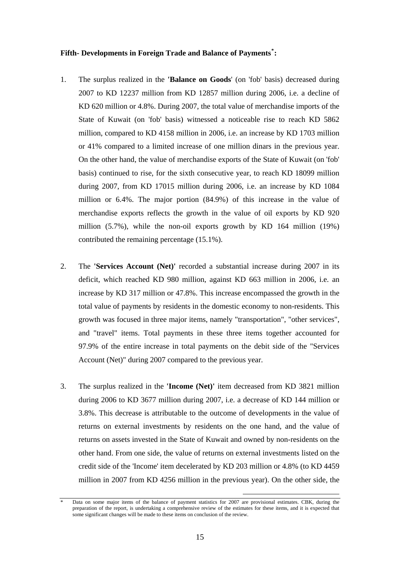## **Fifth- Developments in Foreign Trade and Balance of Payments[\\*](#page-14-0) :**

- 1. The surplus realized in the **'Balance on Goods**' (on 'fob' basis) decreased during 2007 to KD 12237 million from KD 12857 million during 2006, i.e. a decline of KD 620 million or 4.8%. During 2007, the total value of merchandise imports of the State of Kuwait (on 'fob' basis) witnessed a noticeable rise to reach KD 5862 million, compared to KD 4158 million in 2006, i.e. an increase by KD 1703 million or 41% compared to a limited increase of one million dinars in the previous year. On the other hand, the value of merchandise exports of the State of Kuwait (on 'fob' basis) continued to rise, for the sixth consecutive year, to reach KD 18099 million during 2007, from KD 17015 million during 2006, i.e. an increase by KD 1084 million or 6.4%. The major portion (84.9%) of this increase in the value of merchandise exports reflects the growth in the value of oil exports by KD 920 million (5.7%), while the non-oil exports growth by KD 164 million (19%) contributed the remaining percentage (15.1%).
- 2. The **'Services Account (Net)'** recorded a substantial increase during 2007 in its deficit, which reached KD 980 million, against KD 663 million in 2006, i.e. an increase by KD 317 million or 47.8%. This increase encompassed the growth in the total value of payments by residents in the domestic economy to non-residents. This growth was focused in three major items, namely "transportation", "other services", and "travel" items. Total payments in these three items together accounted for 97.9% of the entire increase in total payments on the debit side of the "Services Account (Net)" during 2007 compared to the previous year.
- 3. The surplus realized in the **'Income (Net)'** item decreased from KD 3821 million during 2006 to KD 3677 million during 2007, i.e. a decrease of KD 144 million or 3.8%. This decrease is attributable to the outcome of developments in the value of returns on external investments by residents on the one hand, and the value of returns on assets invested in the State of Kuwait and owned by non-residents on the other hand. From one side, the value of returns on external investments listed on the credit side of the 'Income' item decelerated by KD 203 million or 4.8% (to KD 4459 million in 2007 from KD 4256 million in the previous year). On the other side, the

<span id="page-14-0"></span>Data on some major items of the balance of payment statistics for 2007 are provisional estimates. CBK, during the preparation of the report, is undertaking a comprehensive review of the estimates for these items, and it is expected that some significant changes will be made to these items on conclusion of the review.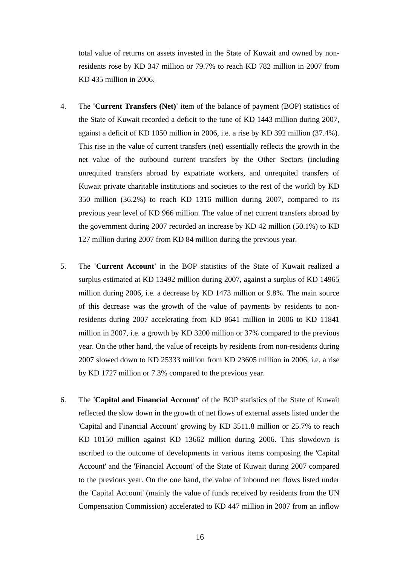total value of returns on assets invested in the State of Kuwait and owned by nonresidents rose by KD 347 million or 79.7% to reach KD 782 million in 2007 from KD 435 million in 2006.

- 4. The **'Current Transfers (Net)'** item of the balance of payment (BOP) statistics of the State of Kuwait recorded a deficit to the tune of KD 1443 million during 2007, against a deficit of KD 1050 million in 2006, i.e. a rise by KD 392 million (37.4%). This rise in the value of current transfers (net) essentially reflects the growth in the net value of the outbound current transfers by the Other Sectors (including unrequited transfers abroad by expatriate workers, and unrequited transfers of Kuwait private charitable institutions and societies to the rest of the world) by KD 350 million (36.2%) to reach KD 1316 million during 2007, compared to its previous year level of KD 966 million. The value of net current transfers abroad by the government during 2007 recorded an increase by KD 42 million (50.1%) to KD 127 million during 2007 from KD 84 million during the previous year.
- 5. The **'Current Account'** in the BOP statistics of the State of Kuwait realized a surplus estimated at KD 13492 million during 2007, against a surplus of KD 14965 million during 2006, i.e. a decrease by KD 1473 million or 9.8%. The main source of this decrease was the growth of the value of payments by residents to nonresidents during 2007 accelerating from KD 8641 million in 2006 to KD 11841 million in 2007, i.e. a growth by KD 3200 million or 37% compared to the previous year. On the other hand, the value of receipts by residents from non-residents during 2007 slowed down to KD 25333 million from KD 23605 million in 2006, i.e. a rise by KD 1727 million or 7.3% compared to the previous year.
- 6. The **'Capital and Financial Account'** of the BOP statistics of the State of Kuwait reflected the slow down in the growth of net flows of external assets listed under the 'Capital and Financial Account' growing by KD 3511.8 million or 25.7% to reach KD 10150 million against KD 13662 million during 2006. This slowdown is ascribed to the outcome of developments in various items composing the 'Capital Account' and the 'Financial Account' of the State of Kuwait during 2007 compared to the previous year. On the one hand, the value of inbound net flows listed under the 'Capital Account' (mainly the value of funds received by residents from the UN Compensation Commission) accelerated to KD 447 million in 2007 from an inflow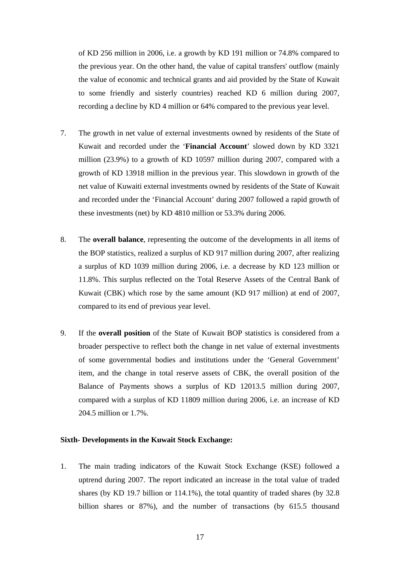of KD 256 million in 2006, i.e. a growth by KD 191 million or 74.8% compared to the previous year. On the other hand, the value of capital transfers' outflow (mainly the value of economic and technical grants and aid provided by the State of Kuwait to some friendly and sisterly countries) reached KD 6 million during 2007, recording a decline by KD 4 million or 64% compared to the previous year level.

- 7. The growth in net value of external investments owned by residents of the State of Kuwait and recorded under the '**Financial Account**' slowed down by KD 3321 million (23.9%) to a growth of KD 10597 million during 2007, compared with a growth of KD 13918 million in the previous year. This slowdown in growth of the net value of Kuwaiti external investments owned by residents of the State of Kuwait and recorded under the 'Financial Account' during 2007 followed a rapid growth of these investments (net) by KD 4810 million or 53.3% during 2006.
- 8. The **overall balance**, representing the outcome of the developments in all items of the BOP statistics, realized a surplus of KD 917 million during 2007, after realizing a surplus of KD 1039 million during 2006, i.e. a decrease by KD 123 million or 11.8%. This surplus reflected on the Total Reserve Assets of the Central Bank of Kuwait (CBK) which rose by the same amount (KD 917 million) at end of 2007, compared to its end of previous year level.
- 9. If the **overall position** of the State of Kuwait BOP statistics is considered from a broader perspective to reflect both the change in net value of external investments of some governmental bodies and institutions under the 'General Government' item, and the change in total reserve assets of CBK, the overall position of the Balance of Payments shows a surplus of KD 12013.5 million during 2007, compared with a surplus of KD 11809 million during 2006, i.e. an increase of KD 204.5 million or 1.7%.

### **Sixth- Developments in the Kuwait Stock Exchange:**

1. The main trading indicators of the Kuwait Stock Exchange (KSE) followed a uptrend during 2007. The report indicated an increase in the total value of traded shares (by KD 19.7 billion or 114.1%), the total quantity of traded shares (by 32.8 billion shares or 87%), and the number of transactions (by 615.5 thousand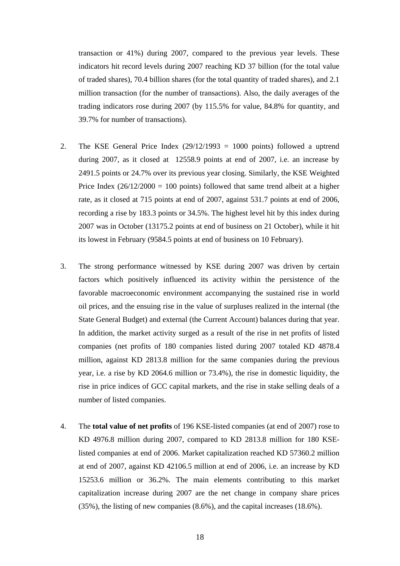transaction or 41%) during 2007, compared to the previous year levels. These indicators hit record levels during 2007 reaching KD 37 billion (for the total value of traded shares), 70.4 billion shares (for the total quantity of traded shares), and 2.1 million transaction (for the number of transactions). Also, the daily averages of the trading indicators rose during 2007 (by 115.5% for value, 84.8% for quantity, and 39.7% for number of transactions).

- 2. The KSE General Price Index  $(29/12/1993 = 1000$  points) followed a uptrend during 2007, as it closed at 12558.9 points at end of 2007, i.e. an increase by 2491.5 points or 24.7% over its previous year closing. Similarly, the KSE Weighted Price Index  $(26/12/2000 = 100$  points) followed that same trend albeit at a higher rate, as it closed at 715 points at end of 2007, against 531.7 points at end of 2006, recording a rise by 183.3 points or 34.5%. The highest level hit by this index during 2007 was in October (13175.2 points at end of business on 21 October), while it hit its lowest in February (9584.5 points at end of business on 10 February).
- 3. The strong performance witnessed by KSE during 2007 was driven by certain factors which positively influenced its activity within the persistence of the favorable macroeconomic environment accompanying the sustained rise in world oil prices, and the ensuing rise in the value of surpluses realized in the internal (the State General Budget) and external (the Current Account) balances during that year. In addition, the market activity surged as a result of the rise in net profits of listed companies (net profits of 180 companies listed during 2007 totaled KD 4878.4 million, against KD 2813.8 million for the same companies during the previous year, i.e. a rise by KD 2064.6 million or 73.4%), the rise in domestic liquidity, the rise in price indices of GCC capital markets, and the rise in stake selling deals of a number of listed companies.
- 4. The **total value of net profits** of 196 KSE-listed companies (at end of 2007) rose to KD 4976.8 million during 2007, compared to KD 2813.8 million for 180 KSElisted companies at end of 2006. Market capitalization reached KD 57360.2 million at end of 2007, against KD 42106.5 million at end of 2006, i.e. an increase by KD 15253.6 million or 36.2%. The main elements contributing to this market capitalization increase during 2007 are the net change in company share prices (35%), the listing of new companies (8.6%), and the capital increases (18.6%).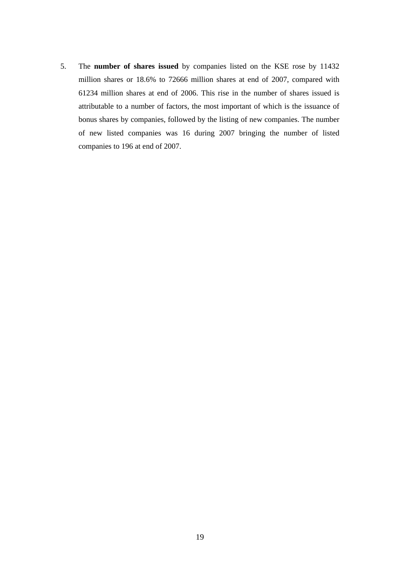5. The **number of shares issued** by companies listed on the KSE rose by 11432 million shares or 18.6% to 72666 million shares at end of 2007, compared with 61234 million shares at end of 2006. This rise in the number of shares issued is attributable to a number of factors, the most important of which is the issuance of bonus shares by companies, followed by the listing of new companies. The number of new listed companies was 16 during 2007 bringing the number of listed companies to 196 at end of 2007.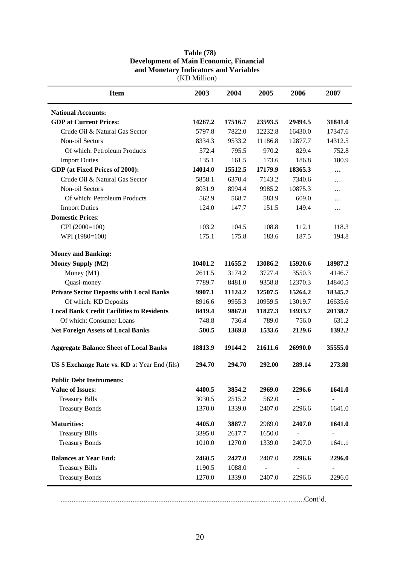| <b>Item</b>                                      | 2003    | 2004    | 2005    | 2006    | 2007     |
|--------------------------------------------------|---------|---------|---------|---------|----------|
| <b>National Accounts:</b>                        |         |         |         |         |          |
| <b>GDP</b> at Current Prices:                    | 14267.2 | 17516.7 | 23593.5 | 29494.5 | 31841.0  |
| Crude Oil & Natural Gas Sector                   | 5797.8  | 7822.0  | 12232.8 | 16430.0 | 17347.6  |
| Non-oil Sectors                                  | 8334.3  | 9533.2  | 11186.8 | 12877.7 | 14312.5  |
| Of which: Petroleum Products                     | 572.4   | 795.5   | 970.2   | 829.4   | 752.8    |
| <b>Import Duties</b>                             | 135.1   | 161.5   | 173.6   | 186.8   | 180.9    |
| GDP (at Fixed Prices of 2000):                   | 14014.0 | 15512.5 | 17179.9 | 18365.3 |          |
| Crude Oil & Natural Gas Sector                   | 5858.1  | 6370.4  | 7143.2  | 7340.6  | $\cdots$ |
| Non-oil Sectors                                  | 8031.9  | 8994.4  | 9985.2  | 10875.3 | .        |
| Of which: Petroleum Products                     | 562.9   | 568.7   | 583.9   | 609.0   | .        |
| <b>Import Duties</b>                             | 124.0   | 147.7   | 151.5   | 149.4   | $\ldots$ |
| <b>Domestic Prices:</b>                          |         |         |         |         |          |
| CPI (2000=100)                                   | 103.2   | 104.5   | 108.8   | 112.1   | 118.3    |
| WPI (1980=100)                                   | 175.1   | 175.8   | 183.6   | 187.5   | 194.8    |
| <b>Money and Banking:</b>                        |         |         |         |         |          |
| <b>Money Supply (M2)</b>                         | 10401.2 | 11655.2 | 13086.2 | 15920.6 | 18987.2  |
| Money (M1)                                       | 2611.5  | 3174.2  | 3727.4  | 3550.3  | 4146.7   |
| Quasi-money                                      | 7789.7  | 8481.0  | 9358.8  | 12370.3 | 14840.5  |
| <b>Private Sector Deposits with Local Banks</b>  | 9907.1  | 11124.2 | 12507.5 | 15264.2 | 18345.7  |
| Of which: KD Deposits                            | 8916.6  | 9955.3  | 10959.5 | 13019.7 | 16635.6  |
| <b>Local Bank Credit Facilities to Residents</b> | 8419.4  | 9867.0  | 11827.3 | 14933.7 | 20138.7  |
| Of which: Consumer Loans                         | 748.8   | 736.4   | 789.0   | 756.0   | 631.2    |
| <b>Net Foreign Assets of Local Banks</b>         | 500.5   | 1369.8  | 1533.6  | 2129.6  | 1392.2   |
| <b>Aggregate Balance Sheet of Local Banks</b>    | 18813.9 | 19144.2 | 21611.6 | 26990.0 | 35555.0  |
| US \$ Exchange Rate vs. KD at Year End (fils)    | 294.70  | 294.70  | 292.00  | 289.14  | 273.80   |
| <b>Public Debt Instruments:</b>                  |         |         |         |         |          |
| <b>Value of Issues:</b>                          | 4400.5  | 3854.2  | 2969.0  | 2296.6  | 1641.0   |
| <b>Treasury Bills</b>                            | 3030.5  | 2515.2  | 562.0   |         |          |
| <b>Treasury Bonds</b>                            | 1370.0  | 1339.0  | 2407.0  | 2296.6  | 1641.0   |
| <b>Maturities:</b>                               | 4405.0  | 3887.7  | 2989.0  | 2407.0  | 1641.0   |
| <b>Treasury Bills</b>                            | 3395.0  | 2617.7  | 1650.0  |         |          |
| <b>Treasury Bonds</b>                            | 1010.0  | 1270.0  | 1339.0  | 2407.0  | 1641.1   |
| <b>Balances at Year End:</b>                     | 2460.5  | 2427.0  | 2407.0  | 2296.6  | 2296.0   |
| <b>Treasury Bills</b>                            | 1190.5  | 1088.0  |         |         |          |
| <b>Treasury Bonds</b>                            | 1270.0  | 1339.0  | 2407.0  | 2296.6  | 2296.0   |

### **Table (78) Development of Main Economic, Financial and Monetary Indicators and Variables**  (KD Million)

......................................................................................................................……......Cont'd.